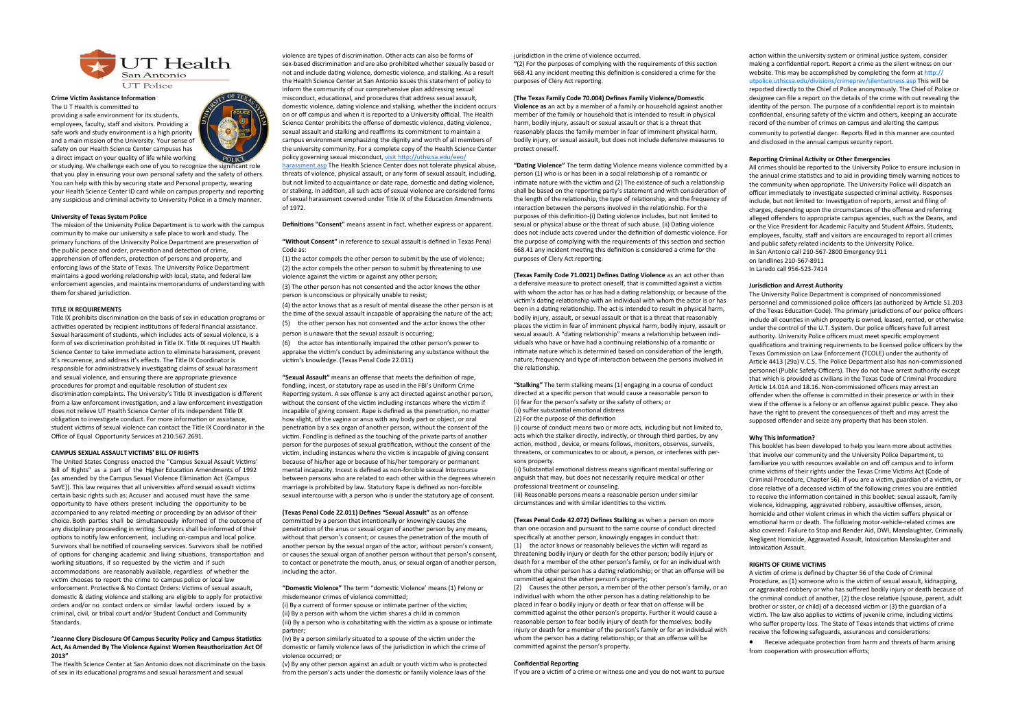violence are types of discrimination. Other acts can also be forms of sex-based discrimination and are also prohibited whether sexually based or not and include dating violence, domestic violence, and stalking. As a result the Health Science Center at San Antonio issues this statement of policy to inform the community of our comprehensive plan addressing sexual misconduct, educational, and procedures that address sexual assault, domestic violence, dating violence and stalking, whether the incident occurs on or off campus and when it is reported to a University official. The Health Science Center prohibits the offense of domestic violence, dating violence, sexual assault and stalking and reaffirms its commitment to maintain a campus environment emphasizing the dignity and worth of all members of the university community. For a complete copy of the Health Science Center policy governing sexual misconduct, [visit http://uthscsa.edu/eeo/](http://uthscsa.edu/eeo/harassment.asp)

[harassment.asp](http://uthscsa.edu/eeo/harassment.asp) The Health Science Center does not tolerate physical abuse, threats of violence, physical assault, or any form of sexual assault, including, but not limited to acquaintance or date rape, domestic and dating violence, or stalking. In addition, all such acts of sexual violence are considered forms of sexual harassment covered under Title IX of the Education Amendments of 1972.

**Definitions "Consent"** means assent in fact, whether express or apparent.

**"Without Consent"** in reference to sexual assault is defined in Texas Penal Code as:

(1) the actor compels the other person to submit by the use of violence; (2) the actor compels the other person to submit by threatening to use

violence against the victim or against any other person;

(3) The other person has not consented and the actor knows the other person is unconscious or physically unable to resist;

(4) the actor knows that as a result of mental disease the other person is at the time of the sexual assault incapable of appraising the nature of the act;

(5) the other person has not consented and the actor knows the other person is unaware that the sexual assault is occurring;

(6) the actor has intentionally impaired the other person's power to appraise the victim's conduct by administering any substance without the victim's knowledge. (Texas Penal Code 22.011)

**"Sexual Assault"** means an offense that meets the definition of rape, fondling, incest, or statutory rape as used in the FBI's Uniform Crime Reporting system. A sex offense is any act directed against another person, without the consent of the victim including instances where the victim if incapable of giving consent. Rape is defined as the penetration, no matter how slight, of the vagina or anus with any body part or object, or oral penetration by a sex organ of another person, without the consent of the victim. Fondling is defined as the touching of the private parts of another person for the purposes of sexual gratification, without the consent of the victim, including instances where the victim is incapable of giving consent because of his/her age or because of his/her temporary or permanent mental incapacity. Incest is defined as non-forcible sexual Intercourse between persons who are related to each other within the degrees wherein marriage is prohibited by law. Statutory Rape is defined as non-forcible sexual intercourse with a person who is under the statutory age of consent.

### **(Texas Penal Code 22.011) Defines "Sexual Assault"** as an offense

committed by a person that intentionally or knowingly causes the penetration of the anus or sexual organ of another person by any means, without that person's consent; or causes the penetration of the mouth of another person by the sexual organ of the actor, without person's consent, or causes the sexual organ of another person without that person's consent, to contact or penetrate the mouth, anus, or sexual organ of another person, including the actor.

### **"Domestic Violence"** The term "domestic Violence' means (1) Felony or misdemeanor crimes of violence committed;

(i) By a current of former spouse or intimate partner of the victim; (ii) By a person with whom the victim shares a child in common (iii) By a person who is cohabitating with the victim as a spouse or intimate partner;

(iv) By a person similarly situated to a spouse of the victim under the domestic or family violence laws of the jurisdiction in which the crime of violence occurred; or

(v) By any other person against an adult or youth victim who is protected from the person's acts under the domestic or family violence laws of the

jurisdiction in the crime of violence occurred.



**Crime Victim Assistance Information**

The U T Health is committed to providing a safe environment for its students, employees, faculty, staff and visitors. Providing a safe work and study environment is a high priority and a main mission of the University. Your sense of safety on our Health Science Center campuses has a direct impact on your quality of life while working

or studying. We challenge each one of you to recognize the significant role that you play in ensuring your own personal safety and the safety of others. You can help with this by securing state and Personal property, wearing your Health Science Center ID card while on campus property and reporting any suspicious and criminal activity to University Police in a timely manner.

#### **University of Texas System Police**

The mission of the University Police Department is to work with the campus community to make our university a safe place to work and study. The primary functions of the University Police Department are preservation of the public peace and order, prevention and detection of crime, apprehension of offenders, protection of persons and property, and enforcing laws of the State of Texas. The University Police Department maintains a good working relationship with local, state, and federal law enforcement agencies, and maintains memorandums of understanding with them for shared jurisdiction.

> (i) course of conduct means two or more acts, including but not limited to, acts which the stalker directly, indirectly, or through third parties, by any action, method , device, or means follows, monitors, observes, surveils, threatens, or communicates to or about, a person, or interferes with persons property

#### **TITLE IX REQUIREMENTS**

Title IX prohibits discrimination on the basis of sex in education programs or activities operated by recipient institutions of federal financial assistance. Sexual harassment of students, which includes acts of sexual violence, is a form of sex discrimination prohibited in Title IX. Title IX requires UT Health Science Center to take immediate action to eliminate harassment, prevent It's recurrence, and address it's effects. The Title IX Coordinator is responsible for administratively investigating claims of sexual harassment and sexual violence, and ensuring there are appropriate grievance procedures for prompt and equitable resolution of student sex discrimination complaints. The University's Title IX investigation is different from a law enforcement investigation, and a law enforcement investigation does not relieve UT Health Science Center of its independent Title IX obligation to investigate conduct. For more information or assistance, student victims of sexual violence can contact the Title IX Coordinator in the Office of Equal Opportunity Services at 210.567.2691.

#### **CAMPUS SEXUAL ASSAULT VICTIMS' BILL OF RIGHTS**

The United States Congress enacted the "Campus Sexual Assault Victims' Bill of Rights" as a part of the Higher Education Amendments of 1992 (as amended by the Campus Sexual Violence Elimination Act {Campus SaVE}). This law requires that all universities afford sexual assault victims certain basic rights such as: Accuser and accused must have the same opportunity to have others present including the opportunity to be accompanied to any related meeting or proceeding by an advisor of their choice. Both parties shall be simultaneously informed of the outcome of any disciplinary proceeding in writing. Survivors shall be informed of their options to notify law enforcement, including on‐campus and local police. Survivors shall be notified of counseling services. Survivors shall be notified of options for changing academic and living situations, transportation and working situations, if so requested by the victim and if such accommodations are reasonably available, regardless of whether the victim chooses to report the crime to campus police or local law enforcement. Protective & No Contact Orders: Victims of sexual assault, domestic & dating violence and stalking are eligible to apply for protective orders and/or no contact orders or similar lawful orders issued by a criminal, civil, or tribal court and/or Student Conduct and Community Standards.

#### **"Jeanne Clery Disclosure Of Campus Security Policy and Campus Statistics Act, As Amended By The Violence Against Women Reauthorization Act Of 2013"**

The Health Science Center at San Antonio does not discriminate on the basis of sex in its educational programs and sexual harassment and sexual

**"**(2) For the purposes of complying with the requirements of this section 668.41 any incident meeting this definition is considered a crime for the purposes of Clery Act reporting.

### **(The Texas Family Code 70.004) Defines Family Violence/Domestic**

**Violence as** an act by a member of a family or household against another member of the family or household that is intended to result in physical harm, bodily injury, assault or sexual assault or that is a threat that reasonably places the family member in fear of imminent physical harm, bodily injury, or sexual assault, but does not include defensive measures to protect oneself.

**"Dating Violence"** The term dating Violence means violence committed by a person (1) who is or has been in a social relationship of a romantic or intimate nature with the victim and (2) The existence of such a relationship shall be based on the reporting party's statement and with consideration of the length of the relationship, the type of relationship, and the frequency of interaction between the persons involved in the relationship. For the purposes of this definition-(i) Dating violence includes, but not limited to sexual or physical abuse or the threat of such abuse. (ii) Dating violence does not include acts covered under the definition of domestic violence. For the purpose of complying with the requirements of this section and section 668.41 any incident meeting this definition is considered a crime for the purposes of Clery Act reporting.

**(Texas Family Code 71.0021) Defines Dating Violence** as an act other than a defensive measure to protect oneself, that is committed against a victim with whom the actor has or has had a dating relationship; or because of the victim's dating relationship with an individual with whom the actor is or has been in a dating relationship. The act is intended to result in physical harm, bodily injury, assault, or sexual assault or that is a threat that reasonably places the victim in fear of imminent physical harm, bodily injury, assault or sexual assault. A "dating relationship" means a relationship between individuals who have or have had a continuing relationship of a romantic or intimate nature which is determined based on consideration of the length, nature, frequency and type of interaction between the persons involved in the relationship.

**"Stalking"** The term stalking means (1) engaging in a course of conduct directed at a specific person that would cause a reasonable person to (i) fear for the person's safety or the safety of others; or (ii) suffer substantial emotional distress (2) For the purpose of this definition

(ii) Substantial emotional distress means significant mental suffering or anguish that may, but does not necessarily require medical or other professional treatment or counseling.

(iii) Reasonable persons means a reasonable person under similar circumstances and with similar identities to the victim.

**(Texas Penal Code 42.072) Defines Stalking** as when a person on more than one occasion and pursuant to the same course of conduct directed specifically at another person, knowingly engages in conduct that: (1) the actor knows or reasonably believes the victim will regard as threatening bodily injury or death for the other person; bodily injury or death for a member of the other person's family, or for an individual with whom the other person has a dating relationship; or that an offense will be committed against the other person's property;

(2) Causes the other person, a member of the other person's family, or an individual with whom the other person has a dating relationship to be placed in fear o bodily injury or death or fear that on offense will be committed against the other person's property. Further it would cause a reasonable person to fear bodily injury of death for themselves; bodily injury or death for a member of the person's family or for an individual with whom the person has a dating relationship; or that an offense will be committed against the person's property.

#### **Confidential Reporting**

If you are a victim of a crime or witness one and you do not want to pursue

action within the university system or criminal justice system, consider making a confidential report. Report a crime as the silent witness on our website. This may be accomplished by completing the form at http:// utpolice.uthscsa.edu/divisions/crimeprev/silentwitness.asp This will be reported directly to the Chief of Police anonymously. The Chief of Police or designee can file a report on the details of the crime with out revealing the identity of the person. The purpose of a confidential report is to maintain confidential, ensuring safety of the victim and others, keeping an accurate record of the number of crimes on campus and alerting the campus community to potential danger. Reports filed in this manner are counted and disclosed in the annual campus security report.

#### **Reporting Criminal Activity or Other Emergencies**

All crimes should be reported to the University Police to ensure inclusion in the annual crime statistics and to aid in providing timely warning notices to the community when appropriate. The University Police will dispatch an officer immediately to investigate suspected criminal activity. Responses include, but not limited to: Investigation of reports, arrest and filing of charges, depending upon the circumstances of the offense and referring alleged offenders to appropriate campus agencies, such as the Deans, and or the Vice President for Academic Faculty and Student Affairs. Students, employees, faculty, staff and visitors are encouraged to report all crimes and public safety related incidents to the University Police. In San Antonio call 210‐567‐2800 Emergency 911 on landlines 210‐567‐8911 In Laredo call 956‐523‐7414

#### **Jurisdiction and Arrest Authority**

The University Police Department is comprised of noncommissioned personnel and commissioned police officers (as authorized by Article 51.203 of the Texas Education Code). The primary jurisdictions of our police officers include all counties in which property is owned, leased, rented, or otherwise under the control of the U.T. System. Our police officers have full arrest authority. University Police officers must meet specific employment qualifications and training requirements to be licensed police officers by the Texas Commission on Law Enforcement (TCOLE) under the authority of Article 4413 (29a) V.C.S. The Police Department also has non‐commissioned personnel (Public Safety Officers). They do not have arrest authority except that which is provided as civilians in the Texas Code of Criminal Procedure Article 14.01A and 18.16. Non‐commissioned officers may arrest an offender when the offense is committed in their presence or with in their view if the offense is a felony or an offense against public peace. They also have the right to prevent the consequences of theft and may arrest the supposed offender and seize any property that has been stolen.

# **Why This Information?**

This booklet has been developed to help you learn more about activities that involve our community and the University Police Department, to familiarize you with resources available on and off campus and to inform crime victims of their rights under the Texas Crime Victims Act (Code of Criminal Procedure, Chapter 56). If you are a victim, guardian of a victim, or close relative of a deceased victim of the following crimes you are entitled to receive the information contained in this booklet: sexual assault, family violence, kidnapping, aggravated robbery, assaultive offenses, arson, homicide and other violent crimes in which the victim suffers physical or emotional harm or death. The following motor‐vehicle‐related crimes are also covered: Failure to Stop and Render Aid, DWI, Manslaughter, Criminally Negligent Homicide, Aggravated Assault, Intoxication Manslaughter and Intoxication Assault.

## **RIGHTS OF CRIME VICTIMS**

A victim of crime is defined by Chapter 56 of the Code of Criminal Procedure, as (1) someone who is the victim of sexual assault, kidnapping, or aggravated robbery or who has suffered bodily injury or death because of the criminal conduct of another, (2) the close relative (spouse, parent, adult brother or sister, or child) of a deceased victim or (3) the guardian of a victim. The law also applies to victims of juvenile crime, including victims who suffer property loss. The State of Texas intends that victims of crime receive the following safeguards, assurances and considerations:

 Receive adequate protection from harm and threats of harm arising from cooperation with prosecution efforts;